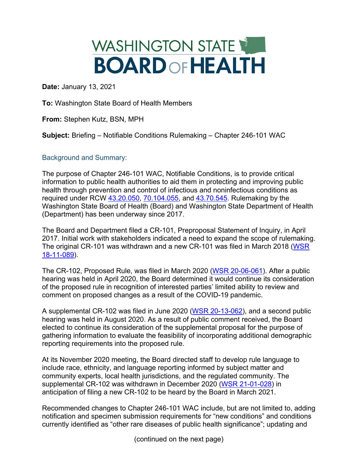

**Date:** January 13, 2021

**To:** Washington State Board of Health Members

**From:** Stephen Kutz, BSN, MPH

**Subject:** Briefing – Notifiable Conditions Rulemaking – Chapter 246-101 WAC

Background and Summary:

The purpose of Chapter 246-101 WAC, Notifiable Conditions, is to provide critical information to public health authorities to aid them in protecting and improving public health through prevention and control of infectious and noninfectious conditions as required under RCW [43.20.050,](https://app.leg.wa.gov/rcw/default.aspx?cite=43.20.050) [70.104.055,](https://app.leg.wa.gov/rcw/default.aspx?cite=70.104.055) and [43.70.545.](https://app.leg.wa.gov/rcw/default.aspx?cite=43.70.545) Rulemaking by the Washington State Board of Health (Board) and Washington State Department of Health (Department) has been underway since 2017.

The Board and Department filed a CR-101, Preproposal Statement of Inquiry, in April 2017. Initial work with stakeholders indicated a need to expand the scope of rulemaking. The original CR-101 was withdrawn and a new CR-101 was filed in March 2018 [\(WSR](http://lawfilesext.leg.wa.gov/law/wsr/2018/11/18-11-089.htm)  [18-11-089\)](http://lawfilesext.leg.wa.gov/law/wsr/2018/11/18-11-089.htm).

The CR-102, Proposed Rule, was filed in March 2020 [\(WSR 20-06-061\)](http://lawfilesext.leg.wa.gov/law/wsr/2020/06/20-06-061.htm). After a public hearing was held in April 2020, the Board determined it would continue its consideration of the proposed rule in recognition of interested parties' limited ability to review and comment on proposed changes as a result of the COVID-19 pandemic.

A supplemental CR-102 was filed in June 2020 [\(WSR 20-13-062\)](http://lawfilesext.leg.wa.gov/law/wsr/2020/13/20-13-062.htm), and a second public hearing was held in August 2020. As a result of public comment received, the Board elected to continue its consideration of the supplemental proposal for the purpose of gathering information to evaluate the feasibility of incorporating additional demographic reporting requirements into the proposed rule.

At its November 2020 meeting, the Board directed staff to develop rule language to include race, ethnicity, and language reporting informed by subject matter and community experts, local health jurisdictions, and the regulated community. The supplemental CR-102 was withdrawn in December 2020 [\(WSR 21-01-028\)](https://www.doh.wa.gov/Portals/1/Documents/1100/2101/2101028notifiableconditionswithdrawalfor2013062supplemental.pdf) in anticipation of filing a new CR-102 to be heard by the Board in March 2021.

Recommended changes to Chapter 246-101 WAC include, but are not limited to, adding notification and specimen submission requirements for "new conditions" and conditions currently identified as "other rare diseases of public health significance"; updating and

(continued on the next page)